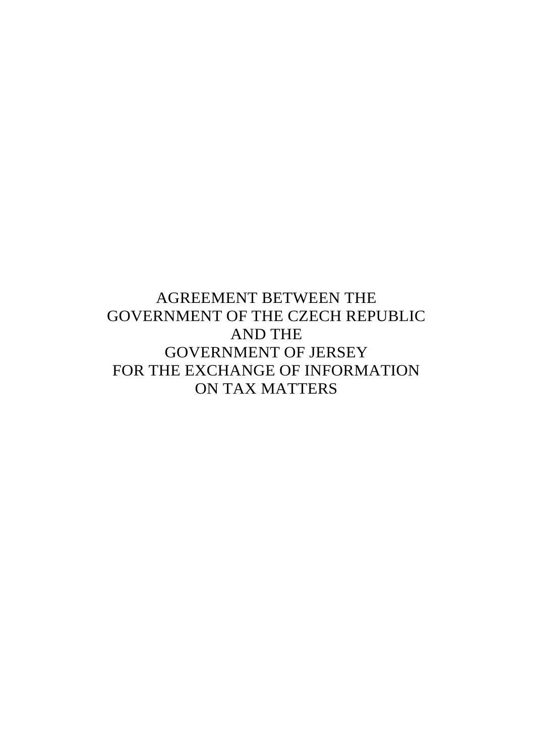AGREEMENT BETWEEN THE GOVERNMENT OF THE CZECH REPUBLIC AND THE GOVERNMENT OF JERSEY FOR THE EXCHANGE OF INFORMATION ON TAX MATTERS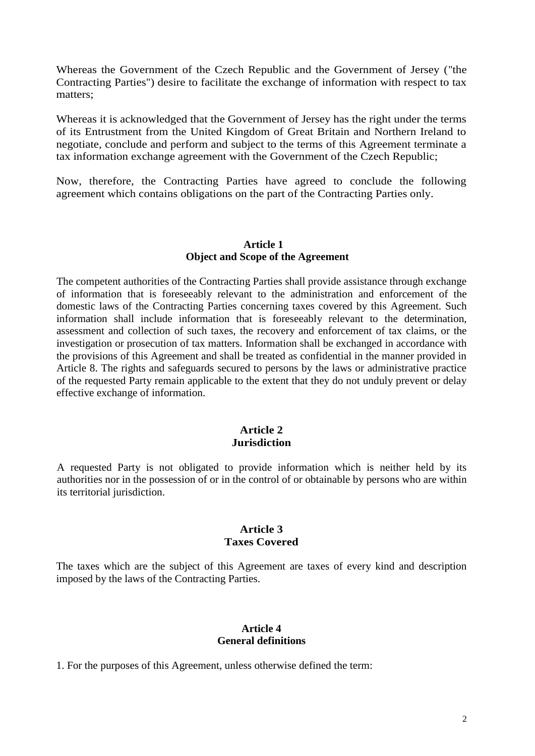Whereas the Government of the Czech Republic and the Government of Jersey ("the Contracting Parties") desire to facilitate the exchange of information with respect to tax matters;

Whereas it is acknowledged that the Government of Jersey has the right under the terms of its Entrustment from the United Kingdom of Great Britain and Northern Ireland to negotiate, conclude and perform and subject to the terms of this Agreement terminate a tax information exchange agreement with the Government of the Czech Republic;

Now, therefore, the Contracting Parties have agreed to conclude the following agreement which contains obligations on the part of the Contracting Parties only.

### **Article 1 Object and Scope of the Agreement**

The competent authorities of the Contracting Parties shall provide assistance through exchange of information that is foreseeably relevant to the administration and enforcement of the domestic laws of the Contracting Parties concerning taxes covered by this Agreement. Such information shall include information that is foreseeably relevant to the determination, assessment and collection of such taxes, the recovery and enforcement of tax claims, or the investigation or prosecution of tax matters. Information shall be exchanged in accordance with the provisions of this Agreement and shall be treated as confidential in the manner provided in Article 8. The rights and safeguards secured to persons by the laws or administrative practice of the requested Party remain applicable to the extent that they do not unduly prevent or delay effective exchange of information.

#### **Article 2 Jurisdiction**

A requested Party is not obligated to provide information which is neither held by its authorities nor in the possession of or in the control of or obtainable by persons who are within its territorial jurisdiction.

#### **Article 3 Taxes Covered**

The taxes which are the subject of this Agreement are taxes of every kind and description imposed by the laws of the Contracting Parties.

### **Article 4 General definitions**

1. For the purposes of this Agreement, unless otherwise defined the term: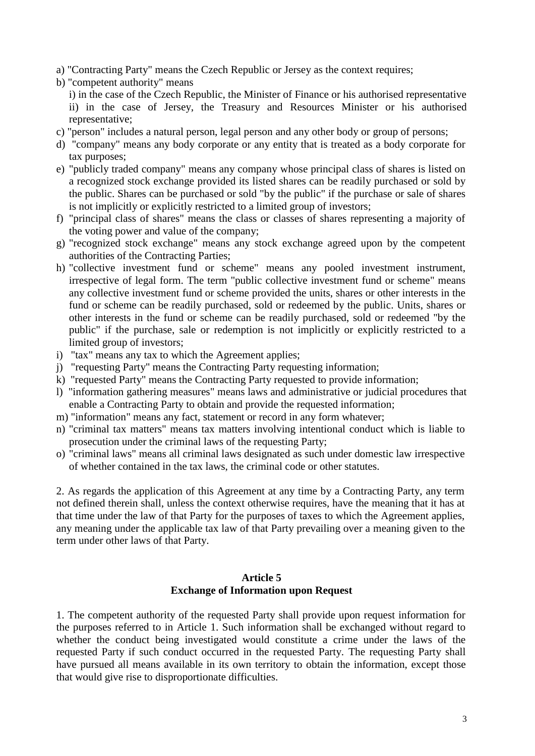- a) "Contracting Party" means the Czech Republic or Jersey as the context requires;
- b) "competent authority" means
	- i) in the case of the Czech Republic, the Minister of Finance or his authorised representative ii) in the case of Jersey, the Treasury and Resources Minister or his authorised representative;
- c) "person" includes a natural person, legal person and any other body or group of persons;
- d) "company" means any body corporate or any entity that is treated as a body corporate for tax purposes;
- e) "publicly traded company" means any company whose principal class of shares is listed on a recognized stock exchange provided its listed shares can be readily purchased or sold by the public. Shares can be purchased or sold "by the public" if the purchase or sale of shares is not implicitly or explicitly restricted to a limited group of investors;
- f) "principal class of shares" means the class or classes of shares representing a majority of the voting power and value of the company;
- g) "recognized stock exchange" means any stock exchange agreed upon by the competent authorities of the Contracting Parties;
- h) "collective investment fund or scheme" means any pooled investment instrument, irrespective of legal form. The term "public collective investment fund or scheme" means any collective investment fund or scheme provided the units, shares or other interests in the fund or scheme can be readily purchased, sold or redeemed by the public. Units, shares or other interests in the fund or scheme can be readily purchased, sold or redeemed "by the public" if the purchase, sale or redemption is not implicitly or explicitly restricted to a limited group of investors;
- i) "tax" means any tax to which the Agreement applies;
- j) "requesting Party" means the Contracting Party requesting information;
- k) "requested Party" means the Contracting Party requested to provide information;
- l) "information gathering measures" means laws and administrative or judicial procedures that enable a Contracting Party to obtain and provide the requested information;
- m) "information" means any fact, statement or record in any form whatever;
- n) "criminal tax matters" means tax matters involving intentional conduct which is liable to prosecution under the criminal laws of the requesting Party;
- o) "criminal laws" means all criminal laws designated as such under domestic law irrespective of whether contained in the tax laws, the criminal code or other statutes.

2. As regards the application of this Agreement at any time by a Contracting Party, any term not defined therein shall, unless the context otherwise requires, have the meaning that it has at that time under the law of that Party for the purposes of taxes to which the Agreement applies, any meaning under the applicable tax law of that Party prevailing over a meaning given to the term under other laws of that Party.

# **Article 5**

### **Exchange of Information upon Request**

1. The competent authority of the requested Party shall provide upon request information for the purposes referred to in Article 1. Such information shall be exchanged without regard to whether the conduct being investigated would constitute a crime under the laws of the requested Party if such conduct occurred in the requested Party. The requesting Party shall have pursued all means available in its own territory to obtain the information, except those that would give rise to disproportionate difficulties.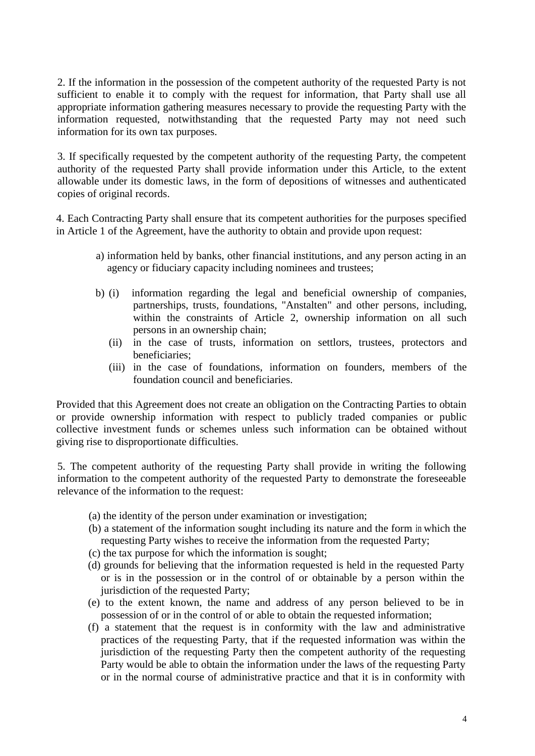2. If the information in the possession of the competent authority of the requested Party is not sufficient to enable it to comply with the request for information, that Party shall use all appropriate information gathering measures necessary to provide the requesting Party with the information requested, notwithstanding that the requested Party may not need such information for its own tax purposes.

3. If specifically requested by the competent authority of the requesting Party, the competent authority of the requested Party shall provide information under this Article, to the extent allowable under its domestic laws, in the form of depositions of witnesses and authenticated copies of original records.

4. Each Contracting Party shall ensure that its competent authorities for the purposes specified in Article 1 of the Agreement, have the authority to obtain and provide upon request:

- a) information held by banks, other financial institutions, and any person acting in an agency or fiduciary capacity including nominees and trustees;
- b) (i) information regarding the legal and beneficial ownership of companies, partnerships, trusts, foundations, "Anstalten" and other persons, including, within the constraints of Article 2, ownership information on all such persons in an ownership chain;
	- (ii) in the case of trusts, information on settlors, trustees, protectors and beneficiaries;
	- (iii) in the case of foundations, information on founders, members of the foundation council and beneficiaries.

Provided that this Agreement does not create an obligation on the Contracting Parties to obtain or provide ownership information with respect to publicly traded companies or public collective investment funds or schemes unless such information can be obtained without giving rise to disproportionate difficulties.

5. The competent authority of the requesting Party shall provide in writing the following information to the competent authority of the requested Party to demonstrate the foreseeable relevance of the information to the request:

- (a) the identity of the person under examination or investigation;
- (b) a statement of the information sought including its nature and the form in which the requesting Party wishes to receive the information from the requested Party;
- (c) the tax purpose for which the information is sought;
- (d) grounds for believing that the information requested is held in the requested Party or is in the possession or in the control of or obtainable by a person within the jurisdiction of the requested Party;
- (e) to the extent known, the name and address of any person believed to be in possession of or in the control of or able to obtain the requested information;
- (f) a statement that the request is in conformity with the law and administrative practices of the requesting Party, that if the requested information was within the jurisdiction of the requesting Party then the competent authority of the requesting Party would be able to obtain the information under the laws of the requesting Party or in the normal course of administrative practice and that it is in conformity with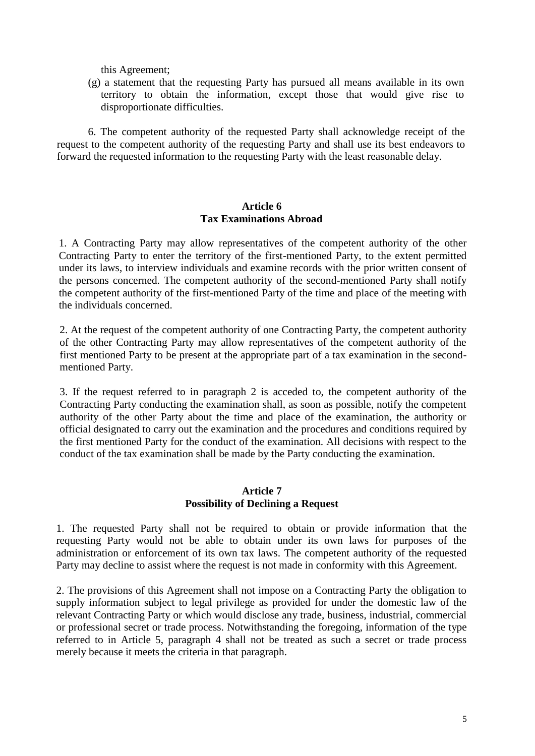this Agreement;

(g) a statement that the requesting Party has pursued all means available in its own territory to obtain the information, except those that would give rise to disproportionate difficulties.

6. The competent authority of the requested Party shall acknowledge receipt of the request to the competent authority of the requesting Party and shall use its best endeavors to forward the requested information to the requesting Party with the least reasonable delay.

### **Article 6 Tax Examinations Abroad**

1. A Contracting Party may allow representatives of the competent authority of the other Contracting Party to enter the territory of the first-mentioned Party, to the extent permitted under its laws, to interview individuals and examine records with the prior written consent of the persons concerned. The competent authority of the second-mentioned Party shall notify the competent authority of the first-mentioned Party of the time and place of the meeting with the individuals concerned.

2. At the request of the competent authority of one Contracting Party, the competent authority of the other Contracting Party may allow representatives of the competent authority of the first mentioned Party to be present at the appropriate part of a tax examination in the secondmentioned Party.

3. If the request referred to in paragraph 2 is acceded to, the competent authority of the Contracting Party conducting the examination shall, as soon as possible, notify the competent authority of the other Party about the time and place of the examination, the authority or official designated to carry out the examination and the procedures and conditions required by the first mentioned Party for the conduct of the examination. All decisions with respect to the conduct of the tax examination shall be made by the Party conducting the examination.

#### **Article 7 Possibility of Declining a Request**

1. The requested Party shall not be required to obtain or provide information that the requesting Party would not be able to obtain under its own laws for purposes of the administration or enforcement of its own tax laws. The competent authority of the requested Party may decline to assist where the request is not made in conformity with this Agreement.

2. The provisions of this Agreement shall not impose on a Contracting Party the obligation to supply information subject to legal privilege as provided for under the domestic law of the relevant Contracting Party or which would disclose any trade, business, industrial, commercial or professional secret or trade process. Notwithstanding the foregoing, information of the type referred to in Article 5, paragraph 4 shall not be treated as such a secret or trade process merely because it meets the criteria in that paragraph.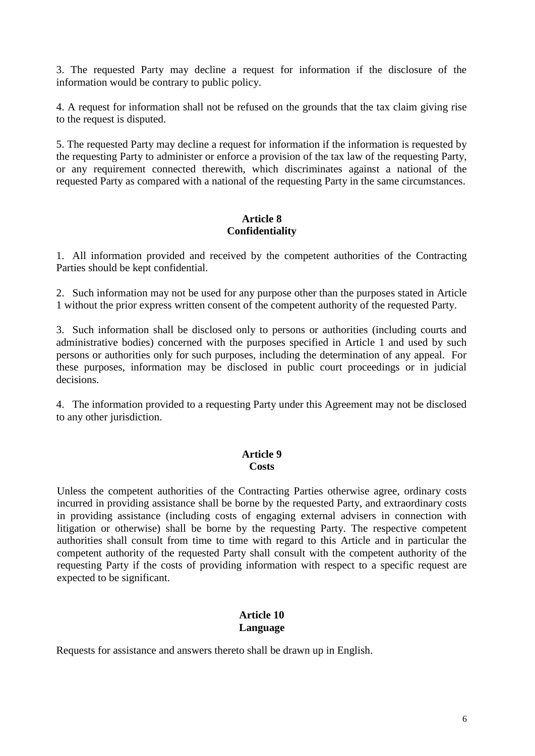3. The requested Party may decline a request for information if the disclosure of the information would be contrary to public policy.

4. A request for information shall not be refused on the grounds that the tax claim giving rise to the request is disputed.

5. The requested Party may decline a request for information if the information is requested by the requesting Party to administer or enforce a provision of the tax law of the requesting Party, or any requirement connected therewith, which discriminates against a national of the requested Party as compared with a national of the requesting Party in the same circumstances.

### **Article 8 Confidentiality**

1. All information provided and received by the competent authorities of the Contracting Parties should be kept confidential.

2. Such information may not be used for any purpose other than the purposes stated in Article 1 without the prior express written consent of the competent authority of the requested Party.

3. Such information shall be disclosed only to persons or authorities (including courts and administrative bodies) concerned with the purposes specified in Article 1 and used by such persons or authorities only for such purposes, including the determination of any appeal. For these purposes, information may be disclosed in public court proceedings or in judicial decisions.

4. The information provided to a requesting Party under this Agreement may not be disclosed to any other jurisdiction.

#### **Article 9 Costs**

Unless the competent authorities of the Contracting Parties otherwise agree, ordinary costs incurred in providing assistance shall be borne by the requested Party, and extraordinary costs in providing assistance (including costs of engaging external advisers in connection with litigation or otherwise) shall be borne by the requesting Party. The respective competent authorities shall consult from time to time with regard to this Article and in particular the competent authority of the requested Party shall consult with the competent authority of the requesting Party if the costs of providing information with respect to a specific request are expected to be significant.

### **Article 10 Language**

Requests for assistance and answers thereto shall be drawn up in English.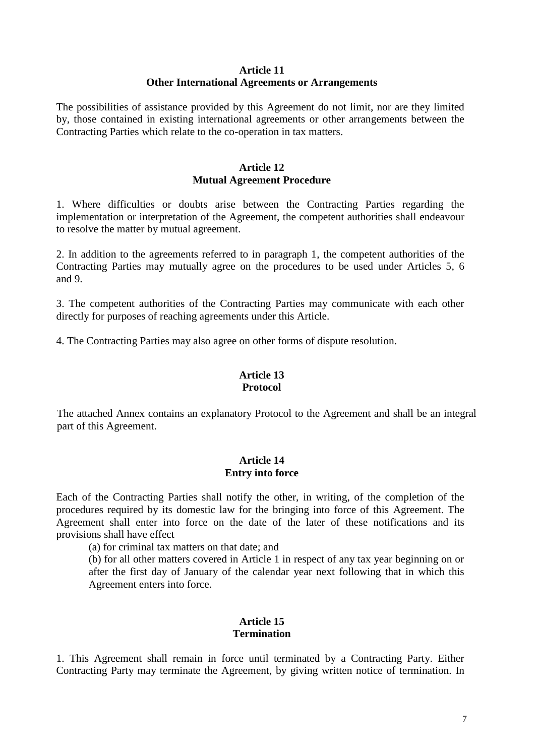#### **Article 11 Other International Agreements or Arrangements**

The possibilities of assistance provided by this Agreement do not limit, nor are they limited by, those contained in existing international agreements or other arrangements between the Contracting Parties which relate to the co-operation in tax matters.

### **Article 12 Mutual Agreement Procedure**

1. Where difficulties or doubts arise between the Contracting Parties regarding the implementation or interpretation of the Agreement, the competent authorities shall endeavour to resolve the matter by mutual agreement.

2. In addition to the agreements referred to in paragraph 1, the competent authorities of the Contracting Parties may mutually agree on the procedures to be used under Articles 5, 6 and 9.

3. The competent authorities of the Contracting Parties may communicate with each other directly for purposes of reaching agreements under this Article.

4. The Contracting Parties may also agree on other forms of dispute resolution.

### **Article 13 Protocol**

The attached Annex contains an explanatory Protocol to the Agreement and shall be an integral part of this Agreement.

### **Article 14 Entry into force**

Each of the Contracting Parties shall notify the other, in writing, of the completion of the procedures required by its domestic law for the bringing into force of this Agreement. The Agreement shall enter into force on the date of the later of these notifications and its provisions shall have effect

(a) for criminal tax matters on that date; and

(b) for all other matters covered in Article 1 in respect of any tax year beginning on or after the first day of January of the calendar year next following that in which this Agreement enters into force.

### **Article 15 Termination**

1. This Agreement shall remain in force until terminated by a Contracting Party. Either Contracting Party may terminate the Agreement, by giving written notice of termination. In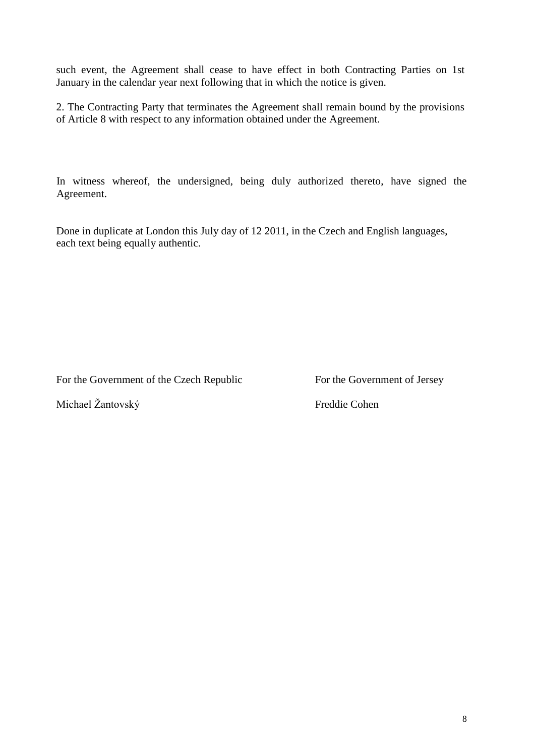such event, the Agreement shall cease to have effect in both Contracting Parties on 1st January in the calendar year next following that in which the notice is given.

2. The Contracting Party that terminates the Agreement shall remain bound by the provisions of Article 8 with respect to any information obtained under the Agreement.

In witness whereof, the undersigned, being duly authorized thereto, have signed the Agreement.

Done in duplicate at London this July day of 12 2011, in the Czech and English languages, each text being equally authentic.

For the Government of the Czech Republic For the Government of Jersey

Michael Žantovský Freddie Cohen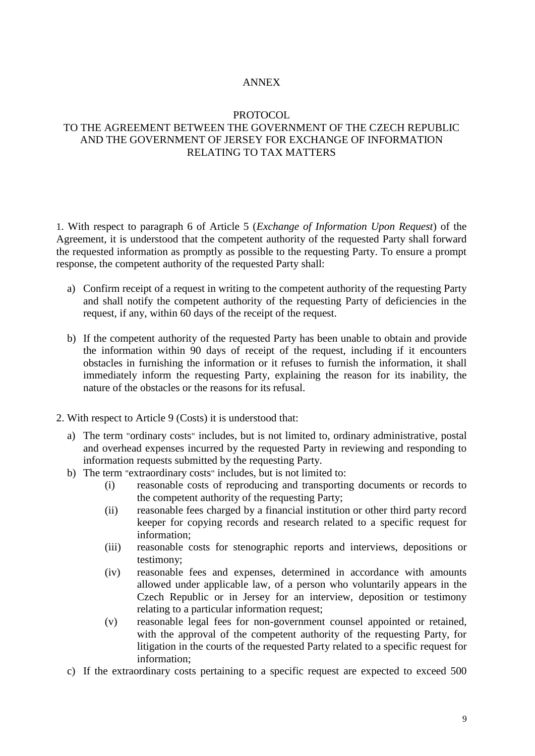### ANNEX

#### PROTOCOL.

## TO THE AGREEMENT BETWEEN THE GOVERNMENT OF THE CZECH REPUBLIC AND THE GOVERNMENT OF JERSEY FOR EXCHANGE OF INFORMATION RELATING TO TAX MATTERS

1. With respect to paragraph 6 of Article 5 (*Exchange of Information Upon Request*) of the Agreement, it is understood that the competent authority of the requested Party shall forward the requested information as promptly as possible to the requesting Party. To ensure a prompt response, the competent authority of the requested Party shall:

- a) Confirm receipt of a request in writing to the competent authority of the requesting Party and shall notify the competent authority of the requesting Party of deficiencies in the request, if any, within 60 days of the receipt of the request.
- b) If the competent authority of the requested Party has been unable to obtain and provide the information within 90 days of receipt of the request, including if it encounters obstacles in furnishing the information or it refuses to furnish the information, it shall immediately inform the requesting Party, explaining the reason for its inability, the nature of the obstacles or the reasons for its refusal.
- 2. With respect to Article 9 (Costs) it is understood that:
	- a) The term "ordinary costs" includes, but is not limited to, ordinary administrative, postal and overhead expenses incurred by the requested Party in reviewing and responding to information requests submitted by the requesting Party.
	- b) The term "extraordinary costs" includes, but is not limited to:
		- (i) reasonable costs of reproducing and transporting documents or records to the competent authority of the requesting Party;
		- (ii) reasonable fees charged by a financial institution or other third party record keeper for copying records and research related to a specific request for information;
		- (iii) reasonable costs for stenographic reports and interviews, depositions or testimony;
		- (iv) reasonable fees and expenses, determined in accordance with amounts allowed under applicable law, of a person who voluntarily appears in the Czech Republic or in Jersey for an interview, deposition or testimony relating to a particular information request;
		- (v) reasonable legal fees for non-government counsel appointed or retained, with the approval of the competent authority of the requesting Party, for litigation in the courts of the requested Party related to a specific request for information;
	- c) If the extraordinary costs pertaining to a specific request are expected to exceed 500